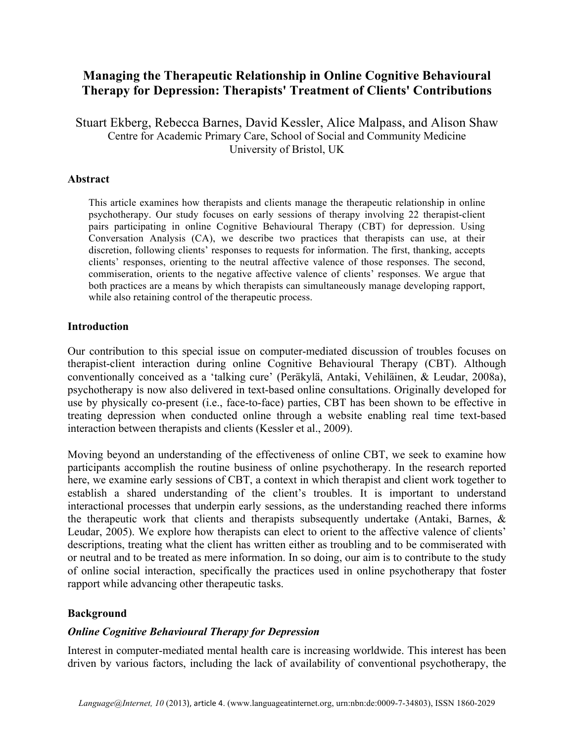# **Managing the Therapeutic Relationship in Online Cognitive Behavioural Therapy for Depression: Therapists' Treatment of Clients' Contributions**

Stuart Ekberg, Rebecca Barnes, David Kessler, Alice Malpass, and Alison Shaw Centre for Academic Primary Care, School of Social and Community Medicine University of Bristol, UK

#### **Abstract**

This article examines how therapists and clients manage the therapeutic relationship in online psychotherapy. Our study focuses on early sessions of therapy involving 22 therapist-client pairs participating in online Cognitive Behavioural Therapy (CBT) for depression. Using Conversation Analysis (CA), we describe two practices that therapists can use, at their discretion, following clients' responses to requests for information. The first, thanking, accepts clients' responses, orienting to the neutral affective valence of those responses. The second, commiseration, orients to the negative affective valence of clients' responses. We argue that both practices are a means by which therapists can simultaneously manage developing rapport, while also retaining control of the therapeutic process.

#### **Introduction**

Our contribution to this special issue on computer-mediated discussion of troubles focuses on therapist-client interaction during online Cognitive Behavioural Therapy (CBT). Although conventionally conceived as a 'talking cure' (Peräkylä, Antaki, Vehiläinen, & Leudar, 2008a), psychotherapy is now also delivered in text-based online consultations. Originally developed for use by physically co-present (i.e., face-to-face) parties, CBT has been shown to be effective in treating depression when conducted online through a website enabling real time text-based interaction between therapists and clients (Kessler et al., 2009).

Moving beyond an understanding of the effectiveness of online CBT, we seek to examine how participants accomplish the routine business of online psychotherapy. In the research reported here, we examine early sessions of CBT, a context in which therapist and client work together to establish a shared understanding of the client's troubles. It is important to understand interactional processes that underpin early sessions, as the understanding reached there informs the therapeutic work that clients and therapists subsequently undertake (Antaki, Barnes, & Leudar, 2005). We explore how therapists can elect to orient to the affective valence of clients' descriptions, treating what the client has written either as troubling and to be commiserated with or neutral and to be treated as mere information. In so doing, our aim is to contribute to the study of online social interaction, specifically the practices used in online psychotherapy that foster rapport while advancing other therapeutic tasks.

#### **Background**

#### *Online Cognitive Behavioural Therapy for Depression*

Interest in computer-mediated mental health care is increasing worldwide. This interest has been driven by various factors, including the lack of availability of conventional psychotherapy, the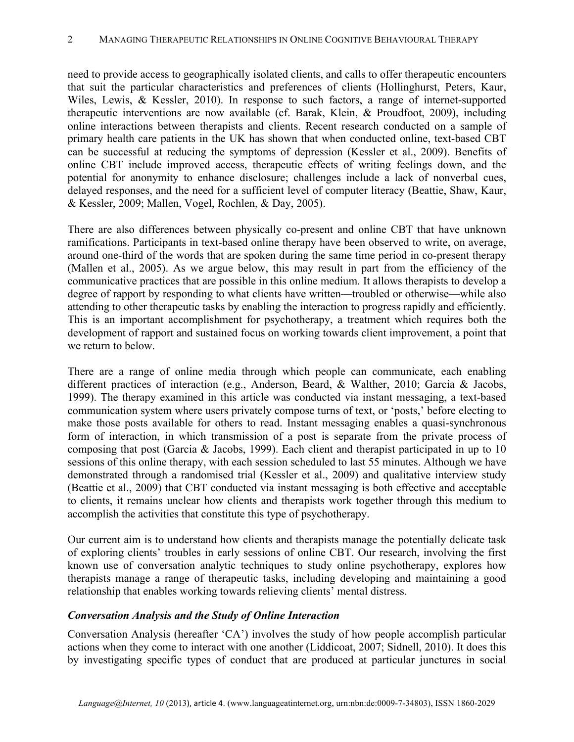need to provide access to geographically isolated clients, and calls to offer therapeutic encounters that suit the particular characteristics and preferences of clients (Hollinghurst, Peters, Kaur, Wiles, Lewis, & Kessler, 2010). In response to such factors, a range of internet-supported therapeutic interventions are now available (cf. Barak, Klein, & Proudfoot, 2009), including online interactions between therapists and clients. Recent research conducted on a sample of primary health care patients in the UK has shown that when conducted online, text-based CBT can be successful at reducing the symptoms of depression (Kessler et al., 2009). Benefits of online CBT include improved access, therapeutic effects of writing feelings down, and the potential for anonymity to enhance disclosure; challenges include a lack of nonverbal cues, delayed responses, and the need for a sufficient level of computer literacy (Beattie, Shaw, Kaur, & Kessler, 2009; Mallen, Vogel, Rochlen, & Day, 2005).

There are also differences between physically co-present and online CBT that have unknown ramifications. Participants in text-based online therapy have been observed to write, on average, around one-third of the words that are spoken during the same time period in co-present therapy (Mallen et al., 2005). As we argue below, this may result in part from the efficiency of the communicative practices that are possible in this online medium. It allows therapists to develop a degree of rapport by responding to what clients have written—troubled or otherwise—while also attending to other therapeutic tasks by enabling the interaction to progress rapidly and efficiently. This is an important accomplishment for psychotherapy, a treatment which requires both the development of rapport and sustained focus on working towards client improvement, a point that we return to below.

There are a range of online media through which people can communicate, each enabling different practices of interaction (e.g., Anderson, Beard, & Walther, 2010; Garcia & Jacobs, 1999). The therapy examined in this article was conducted via instant messaging, a text-based communication system where users privately compose turns of text, or 'posts,' before electing to make those posts available for others to read. Instant messaging enables a quasi-synchronous form of interaction, in which transmission of a post is separate from the private process of composing that post (Garcia & Jacobs, 1999). Each client and therapist participated in up to 10 sessions of this online therapy, with each session scheduled to last 55 minutes. Although we have demonstrated through a randomised trial (Kessler et al., 2009) and qualitative interview study (Beattie et al., 2009) that CBT conducted via instant messaging is both effective and acceptable to clients, it remains unclear how clients and therapists work together through this medium to accomplish the activities that constitute this type of psychotherapy.

Our current aim is to understand how clients and therapists manage the potentially delicate task of exploring clients' troubles in early sessions of online CBT. Our research, involving the first known use of conversation analytic techniques to study online psychotherapy, explores how therapists manage a range of therapeutic tasks, including developing and maintaining a good relationship that enables working towards relieving clients' mental distress.

#### *Conversation Analysis and the Study of Online Interaction*

Conversation Analysis (hereafter 'CA') involves the study of how people accomplish particular actions when they come to interact with one another (Liddicoat, 2007; Sidnell, 2010). It does this by investigating specific types of conduct that are produced at particular junctures in social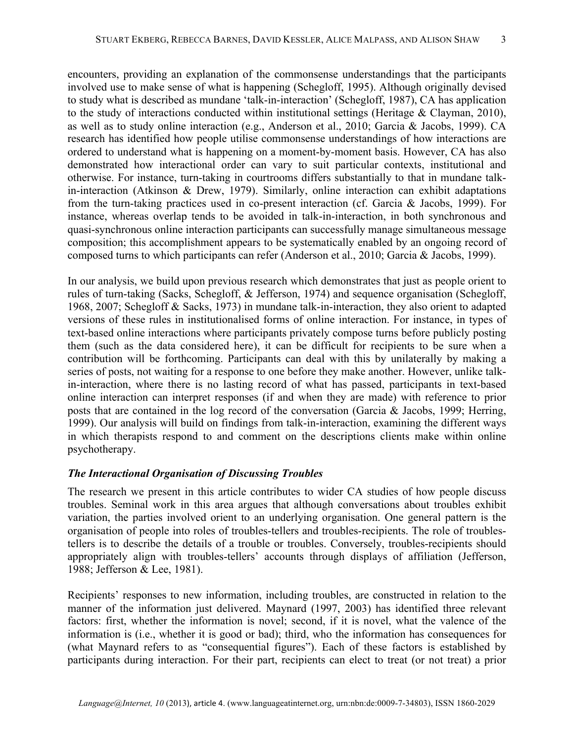encounters, providing an explanation of the commonsense understandings that the participants involved use to make sense of what is happening (Schegloff, 1995). Although originally devised to study what is described as mundane 'talk-in-interaction' (Schegloff, 1987), CA has application to the study of interactions conducted within institutional settings (Heritage & Clayman, 2010), as well as to study online interaction (e.g., Anderson et al., 2010; Garcia & Jacobs, 1999). CA research has identified how people utilise commonsense understandings of how interactions are ordered to understand what is happening on a moment-by-moment basis. However, CA has also demonstrated how interactional order can vary to suit particular contexts, institutional and otherwise. For instance, turn-taking in courtrooms differs substantially to that in mundane talkin-interaction (Atkinson & Drew, 1979). Similarly, online interaction can exhibit adaptations from the turn-taking practices used in co-present interaction (cf. Garcia & Jacobs, 1999). For instance, whereas overlap tends to be avoided in talk-in-interaction, in both synchronous and quasi-synchronous online interaction participants can successfully manage simultaneous message composition; this accomplishment appears to be systematically enabled by an ongoing record of composed turns to which participants can refer (Anderson et al., 2010; Garcia & Jacobs, 1999).

In our analysis, we build upon previous research which demonstrates that just as people orient to rules of turn-taking (Sacks, Schegloff, & Jefferson, 1974) and sequence organisation (Schegloff, 1968, 2007; Schegloff & Sacks, 1973) in mundane talk-in-interaction, they also orient to adapted versions of these rules in institutionalised forms of online interaction. For instance, in types of text-based online interactions where participants privately compose turns before publicly posting them (such as the data considered here), it can be difficult for recipients to be sure when a contribution will be forthcoming. Participants can deal with this by unilaterally by making a series of posts, not waiting for a response to one before they make another. However, unlike talkin-interaction, where there is no lasting record of what has passed, participants in text-based online interaction can interpret responses (if and when they are made) with reference to prior posts that are contained in the log record of the conversation (Garcia & Jacobs, 1999; Herring, 1999). Our analysis will build on findings from talk-in-interaction, examining the different ways in which therapists respond to and comment on the descriptions clients make within online psychotherapy.

#### *The Interactional Organisation of Discussing Troubles*

The research we present in this article contributes to wider CA studies of how people discuss troubles. Seminal work in this area argues that although conversations about troubles exhibit variation, the parties involved orient to an underlying organisation. One general pattern is the organisation of people into roles of troubles-tellers and troubles-recipients. The role of troublestellers is to describe the details of a trouble or troubles. Conversely, troubles-recipients should appropriately align with troubles-tellers' accounts through displays of affiliation (Jefferson, 1988; Jefferson & Lee, 1981).

Recipients' responses to new information, including troubles, are constructed in relation to the manner of the information just delivered. Maynard (1997, 2003) has identified three relevant factors: first, whether the information is novel; second, if it is novel, what the valence of the information is (i.e., whether it is good or bad); third, who the information has consequences for (what Maynard refers to as "consequential figures"). Each of these factors is established by participants during interaction. For their part, recipients can elect to treat (or not treat) a prior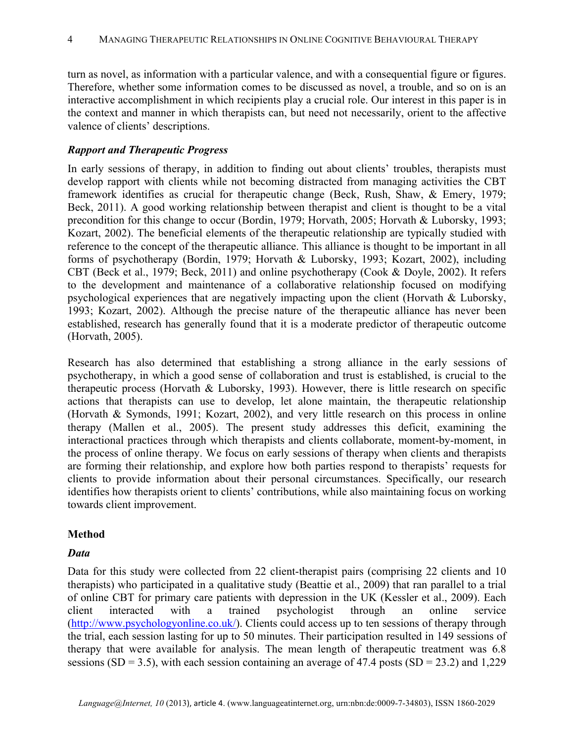turn as novel, as information with a particular valence, and with a consequential figure or figures. Therefore, whether some information comes to be discussed as novel, a trouble, and so on is an interactive accomplishment in which recipients play a crucial role. Our interest in this paper is in the context and manner in which therapists can, but need not necessarily, orient to the affective valence of clients' descriptions.

### *Rapport and Therapeutic Progress*

In early sessions of therapy, in addition to finding out about clients' troubles, therapists must develop rapport with clients while not becoming distracted from managing activities the CBT framework identifies as crucial for therapeutic change (Beck, Rush, Shaw, & Emery, 1979; Beck, 2011). A good working relationship between therapist and client is thought to be a vital precondition for this change to occur (Bordin, 1979; Horvath, 2005; Horvath & Luborsky, 1993; Kozart, 2002). The beneficial elements of the therapeutic relationship are typically studied with reference to the concept of the therapeutic alliance. This alliance is thought to be important in all forms of psychotherapy (Bordin, 1979; Horvath & Luborsky, 1993; Kozart, 2002), including CBT (Beck et al., 1979; Beck, 2011) and online psychotherapy (Cook & Doyle, 2002). It refers to the development and maintenance of a collaborative relationship focused on modifying psychological experiences that are negatively impacting upon the client (Horvath & Luborsky, 1993; Kozart, 2002). Although the precise nature of the therapeutic alliance has never been established, research has generally found that it is a moderate predictor of therapeutic outcome (Horvath, 2005).

Research has also determined that establishing a strong alliance in the early sessions of psychotherapy, in which a good sense of collaboration and trust is established, is crucial to the therapeutic process (Horvath & Luborsky, 1993). However, there is little research on specific actions that therapists can use to develop, let alone maintain, the therapeutic relationship (Horvath & Symonds, 1991; Kozart, 2002), and very little research on this process in online therapy (Mallen et al., 2005). The present study addresses this deficit, examining the interactional practices through which therapists and clients collaborate, moment-by-moment, in the process of online therapy. We focus on early sessions of therapy when clients and therapists are forming their relationship, and explore how both parties respond to therapists' requests for clients to provide information about their personal circumstances. Specifically, our research identifies how therapists orient to clients' contributions, while also maintaining focus on working towards client improvement.

#### **Method**

#### *Data*

Data for this study were collected from 22 client-therapist pairs (comprising 22 clients and 10 therapists) who participated in a qualitative study (Beattie et al., 2009) that ran parallel to a trial of online CBT for primary care patients with depression in the UK (Kessler et al., 2009). Each client interacted with a trained psychologist through an online service (http://www.psychologyonline.co.uk/). Clients could access up to ten sessions of therapy through the trial, each session lasting for up to 50 minutes. Their participation resulted in 149 sessions of therapy that were available for analysis. The mean length of therapeutic treatment was 6.8 sessions (SD = 3.5), with each session containing an average of 47.4 posts (SD = 23.2) and 1,229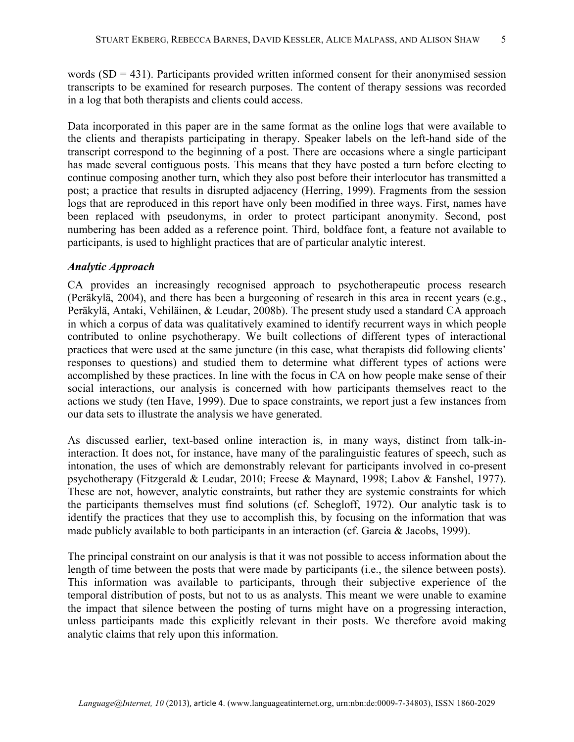words  $(SD = 431)$ . Participants provided written informed consent for their anonymised session transcripts to be examined for research purposes. The content of therapy sessions was recorded in a log that both therapists and clients could access.

Data incorporated in this paper are in the same format as the online logs that were available to the clients and therapists participating in therapy. Speaker labels on the left-hand side of the transcript correspond to the beginning of a post. There are occasions where a single participant has made several contiguous posts. This means that they have posted a turn before electing to continue composing another turn, which they also post before their interlocutor has transmitted a post; a practice that results in disrupted adjacency (Herring, 1999). Fragments from the session logs that are reproduced in this report have only been modified in three ways. First, names have been replaced with pseudonyms, in order to protect participant anonymity. Second, post numbering has been added as a reference point. Third, boldface font, a feature not available to participants, is used to highlight practices that are of particular analytic interest.

#### *Analytic Approach*

CA provides an increasingly recognised approach to psychotherapeutic process research (Peräkylä, 2004), and there has been a burgeoning of research in this area in recent years (e.g., Peräkylä, Antaki, Vehiläinen, & Leudar, 2008b). The present study used a standard CA approach in which a corpus of data was qualitatively examined to identify recurrent ways in which people contributed to online psychotherapy. We built collections of different types of interactional practices that were used at the same juncture (in this case, what therapists did following clients' responses to questions) and studied them to determine what different types of actions were accomplished by these practices. In line with the focus in CA on how people make sense of their social interactions, our analysis is concerned with how participants themselves react to the actions we study (ten Have, 1999). Due to space constraints, we report just a few instances from our data sets to illustrate the analysis we have generated.

As discussed earlier, text-based online interaction is, in many ways, distinct from talk-ininteraction. It does not, for instance, have many of the paralinguistic features of speech, such as intonation, the uses of which are demonstrably relevant for participants involved in co-present psychotherapy (Fitzgerald & Leudar, 2010; Freese & Maynard, 1998; Labov & Fanshel, 1977). These are not, however, analytic constraints, but rather they are systemic constraints for which the participants themselves must find solutions (cf. Schegloff, 1972). Our analytic task is to identify the practices that they use to accomplish this, by focusing on the information that was made publicly available to both participants in an interaction (cf. Garcia & Jacobs, 1999).

The principal constraint on our analysis is that it was not possible to access information about the length of time between the posts that were made by participants (i.e., the silence between posts). This information was available to participants, through their subjective experience of the temporal distribution of posts, but not to us as analysts. This meant we were unable to examine the impact that silence between the posting of turns might have on a progressing interaction, unless participants made this explicitly relevant in their posts. We therefore avoid making analytic claims that rely upon this information.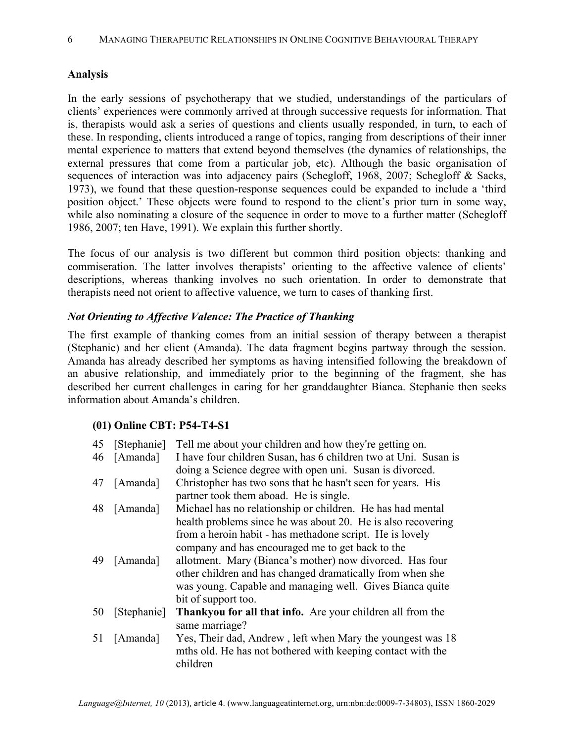### **Analysis**

In the early sessions of psychotherapy that we studied, understandings of the particulars of clients' experiences were commonly arrived at through successive requests for information. That is, therapists would ask a series of questions and clients usually responded, in turn, to each of these. In responding, clients introduced a range of topics, ranging from descriptions of their inner mental experience to matters that extend beyond themselves (the dynamics of relationships, the external pressures that come from a particular job, etc). Although the basic organisation of sequences of interaction was into adjacency pairs (Schegloff, 1968, 2007; Schegloff & Sacks, 1973), we found that these question-response sequences could be expanded to include a 'third position object.' These objects were found to respond to the client's prior turn in some way, while also nominating a closure of the sequence in order to move to a further matter (Schegloff 1986, 2007; ten Have, 1991). We explain this further shortly.

The focus of our analysis is two different but common third position objects: thanking and commiseration. The latter involves therapists' orienting to the affective valence of clients' descriptions, whereas thanking involves no such orientation. In order to demonstrate that therapists need not orient to affective valuence, we turn to cases of thanking first.

#### *Not Orienting to Affective Valence: The Practice of Thanking*

The first example of thanking comes from an initial session of therapy between a therapist (Stephanie) and her client (Amanda). The data fragment begins partway through the session. Amanda has already described her symptoms as having intensified following the breakdown of an abusive relationship, and immediately prior to the beginning of the fragment, she has described her current challenges in caring for her granddaughter Bianca. Stephanie then seeks information about Amanda's children.

#### **(01) Online CBT: P54-T4-S1**

| 45 | [Stephanie]<br>[Amanda] | Tell me about your children and how they're getting on.<br>I have four children Susan, has 6 children two at Uni. Susan is                                                                                                                                                                                                                                                               |
|----|-------------------------|------------------------------------------------------------------------------------------------------------------------------------------------------------------------------------------------------------------------------------------------------------------------------------------------------------------------------------------------------------------------------------------|
| 46 |                         | doing a Science degree with open uni. Susan is divorced.                                                                                                                                                                                                                                                                                                                                 |
| 47 | [Amanda]                | Christopher has two sons that he hasn't seen for years. His<br>partner took them aboad. He is single.                                                                                                                                                                                                                                                                                    |
| 48 | [Amanda]                | Michael has no relationship or children. He has had mental                                                                                                                                                                                                                                                                                                                               |
| 49 | [Amanda]                | health problems since he was about 20. He is also recovering<br>from a heroin habit - has methadone script. He is lovely<br>company and has encouraged me to get back to the<br>allotment. Mary (Bianca's mother) now divorced. Has four<br>other children and has changed dramatically from when she<br>was young. Capable and managing well. Gives Bianca quite<br>bit of support too. |
| 50 | [Stephanie]             | Thankyou for all that info. Are your children all from the<br>same marriage?                                                                                                                                                                                                                                                                                                             |
| 51 | [Amanda]                | Yes, Their dad, Andrew, left when Mary the youngest was 18<br>mths old. He has not bothered with keeping contact with the<br>children                                                                                                                                                                                                                                                    |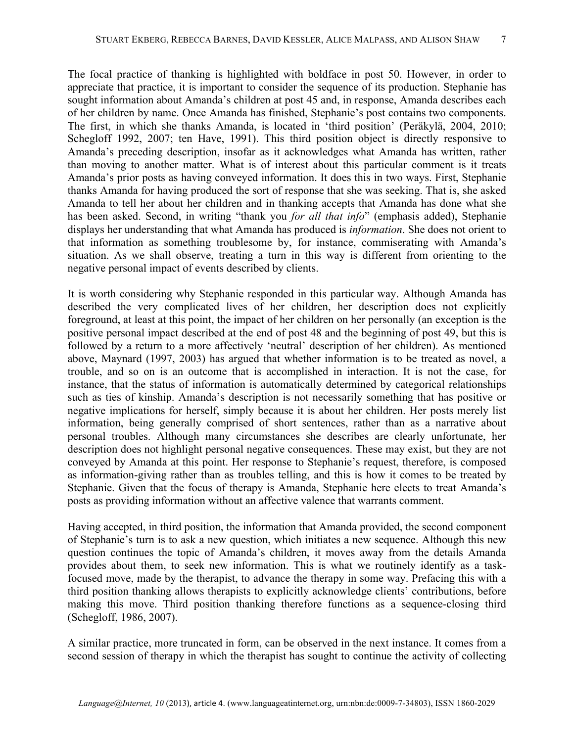The focal practice of thanking is highlighted with boldface in post 50. However, in order to appreciate that practice, it is important to consider the sequence of its production. Stephanie has sought information about Amanda's children at post 45 and, in response, Amanda describes each of her children by name. Once Amanda has finished, Stephanie's post contains two components. The first, in which she thanks Amanda, is located in 'third position' (Peräkylä, 2004, 2010; Schegloff 1992, 2007; ten Have, 1991). This third position object is directly responsive to Amanda's preceding description, insofar as it acknowledges what Amanda has written, rather than moving to another matter. What is of interest about this particular comment is it treats Amanda's prior posts as having conveyed information. It does this in two ways. First, Stephanie thanks Amanda for having produced the sort of response that she was seeking. That is, she asked Amanda to tell her about her children and in thanking accepts that Amanda has done what she has been asked. Second, in writing "thank you *for all that info*" (emphasis added), Stephanie displays her understanding that what Amanda has produced is *information*. She does not orient to that information as something troublesome by, for instance, commiserating with Amanda's situation. As we shall observe, treating a turn in this way is different from orienting to the negative personal impact of events described by clients.

It is worth considering why Stephanie responded in this particular way. Although Amanda has described the very complicated lives of her children, her description does not explicitly foreground, at least at this point, the impact of her children on her personally (an exception is the positive personal impact described at the end of post 48 and the beginning of post 49, but this is followed by a return to a more affectively 'neutral' description of her children). As mentioned above, Maynard (1997, 2003) has argued that whether information is to be treated as novel, a trouble, and so on is an outcome that is accomplished in interaction. It is not the case, for instance, that the status of information is automatically determined by categorical relationships such as ties of kinship. Amanda's description is not necessarily something that has positive or negative implications for herself, simply because it is about her children. Her posts merely list information, being generally comprised of short sentences, rather than as a narrative about personal troubles. Although many circumstances she describes are clearly unfortunate, her description does not highlight personal negative consequences. These may exist, but they are not conveyed by Amanda at this point. Her response to Stephanie's request, therefore, is composed as information-giving rather than as troubles telling, and this is how it comes to be treated by Stephanie. Given that the focus of therapy is Amanda, Stephanie here elects to treat Amanda's posts as providing information without an affective valence that warrants comment.

Having accepted, in third position, the information that Amanda provided, the second component of Stephanie's turn is to ask a new question, which initiates a new sequence. Although this new question continues the topic of Amanda's children, it moves away from the details Amanda provides about them, to seek new information. This is what we routinely identify as a taskfocused move, made by the therapist, to advance the therapy in some way. Prefacing this with a third position thanking allows therapists to explicitly acknowledge clients' contributions, before making this move. Third position thanking therefore functions as a sequence-closing third (Schegloff, 1986, 2007).

A similar practice, more truncated in form, can be observed in the next instance. It comes from a second session of therapy in which the therapist has sought to continue the activity of collecting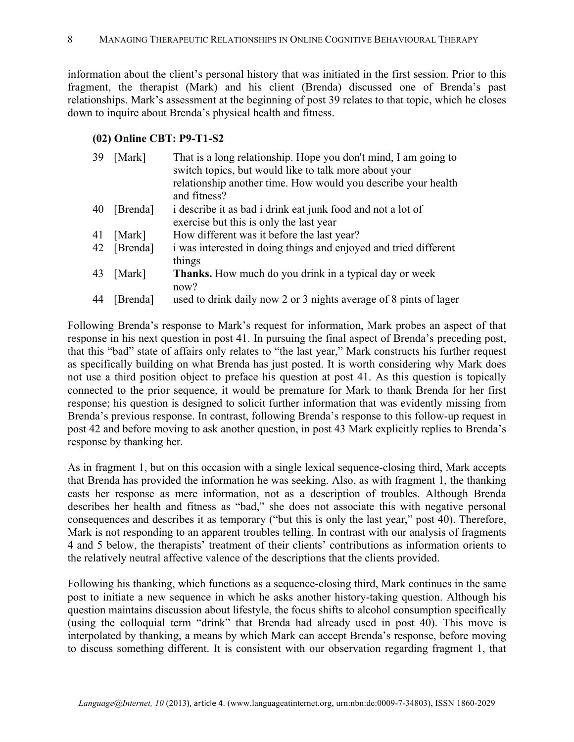information about the client's personal history that was initiated in the first session. Prior to this fragment, the therapist (Mark) and his client (Brenda) discussed one of Brenda's past relationships. Mark's assessment at the beginning of post 39 relates to that topic, which he closes down to inquire about Brenda's physical health and fitness.

## **(02) Online CBT: P9-T1-S2**

| 39 | [Mark]   | That is a long relationship. Hope you don't mind, I am going to<br>switch topics, but would like to talk more about your |
|----|----------|--------------------------------------------------------------------------------------------------------------------------|
|    |          | relationship another time. How would you describe your health<br>and fitness?                                            |
| 40 | [Brenda] | i describe it as bad i drink eat junk food and not a lot of                                                              |
|    |          | exercise but this is only the last year                                                                                  |
| 41 | [Mark]   | How different was it before the last year?                                                                               |
| 42 | [Brenda] | i was interested in doing things and enjoyed and tried different<br>things                                               |
| 43 | [Mark]   | <b>Thanks.</b> How much do you drink in a typical day or week<br>now?                                                    |
| 44 | [Brenda] | used to drink daily now 2 or 3 nights average of 8 pints of lager                                                        |

Following Brenda's response to Mark's request for information, Mark probes an aspect of that response in his next question in post 41. In pursuing the final aspect of Brenda's preceding post, that this "bad" state of affairs only relates to "the last year," Mark constructs his further request as specifically building on what Brenda has just posted. It is worth considering why Mark does not use a third position object to preface his question at post 41. As this question is topically connected to the prior sequence, it would be premature for Mark to thank Brenda for her first response; his question is designed to solicit further information that was evidently missing from Brenda's previous response. In contrast, following Brenda's response to this follow-up request in post 42 and before moving to ask another question, in post 43 Mark explicitly replies to Brenda's response by thanking her.

As in fragment 1, but on this occasion with a single lexical sequence-closing third, Mark accepts that Brenda has provided the information he was seeking. Also, as with fragment 1, the thanking casts her response as mere information, not as a description of troubles. Although Brenda describes her health and fitness as "bad," she does not associate this with negative personal consequences and describes it as temporary ("but this is only the last year," post 40). Therefore, Mark is not responding to an apparent troubles telling. In contrast with our analysis of fragments 4 and 5 below, the therapists' treatment of their clients' contributions as information orients to the relatively neutral affective valence of the descriptions that the clients provided.

Following his thanking, which functions as a sequence-closing third, Mark continues in the same post to initiate a new sequence in which he asks another history-taking question. Although his question maintains discussion about lifestyle, the focus shifts to alcohol consumption specifically (using the colloquial term "drink" that Brenda had already used in post 40). This move is interpolated by thanking, a means by which Mark can accept Brenda's response, before moving to discuss something different. It is consistent with our observation regarding fragment 1, that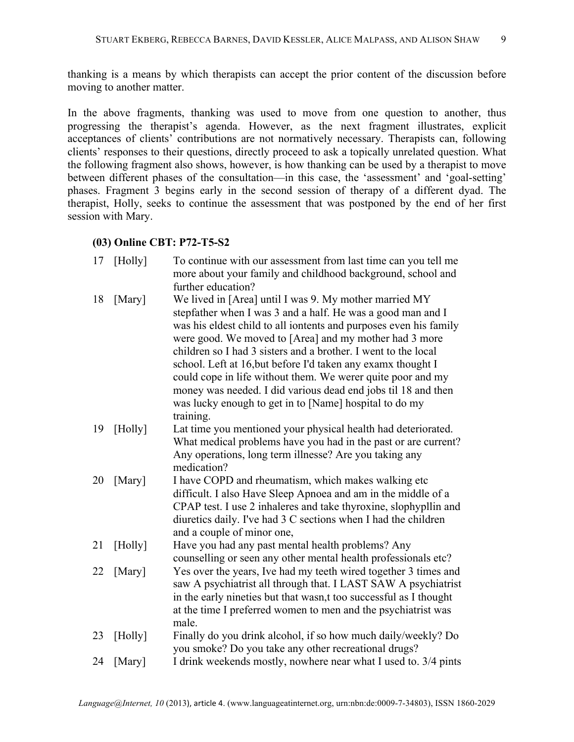thanking is a means by which therapists can accept the prior content of the discussion before moving to another matter.

In the above fragments, thanking was used to move from one question to another, thus progressing the therapist's agenda. However, as the next fragment illustrates, explicit acceptances of clients' contributions are not normatively necessary. Therapists can, following clients' responses to their questions, directly proceed to ask a topically unrelated question. What the following fragment also shows, however, is how thanking can be used by a therapist to move between different phases of the consultation—in this case, the 'assessment' and 'goal-setting' phases. Fragment 3 begins early in the second session of therapy of a different dyad. The therapist, Holly, seeks to continue the assessment that was postponed by the end of her first session with Mary.

### **(03) Online CBT: P72-T5-S2**

| 17 | [Holly] | To continue with our assessment from last time can you tell me<br>more about your family and childhood background, school and<br>further education?                                                                                                                                                                                                                                                                                                                                                                                                                                           |
|----|---------|-----------------------------------------------------------------------------------------------------------------------------------------------------------------------------------------------------------------------------------------------------------------------------------------------------------------------------------------------------------------------------------------------------------------------------------------------------------------------------------------------------------------------------------------------------------------------------------------------|
| 18 | [Mary]  | We lived in [Area] until I was 9. My mother married MY<br>stepfather when I was 3 and a half. He was a good man and I<br>was his eldest child to all iontents and purposes even his family<br>were good. We moved to [Area] and my mother had 3 more<br>children so I had 3 sisters and a brother. I went to the local<br>school. Left at 16, but before I'd taken any examx thought I<br>could cope in life without them. We werer quite poor and my<br>money was needed. I did various dead end jobs til 18 and then<br>was lucky enough to get in to [Name] hospital to do my<br>training. |
| 19 | [Holly] | Lat time you mentioned your physical health had deteriorated.<br>What medical problems have you had in the past or are current?<br>Any operations, long term illnesse? Are you taking any<br>medication?                                                                                                                                                                                                                                                                                                                                                                                      |
| 20 | [Mary]  | I have COPD and rheumatism, which makes walking etc<br>difficult. I also Have Sleep Apnoea and am in the middle of a<br>CPAP test. I use 2 inhaleres and take thyroxine, slophypllin and<br>diuretics daily. I've had 3 C sections when I had the children<br>and a couple of minor one,                                                                                                                                                                                                                                                                                                      |
| 21 | [Holly] | Have you had any past mental health problems? Any<br>counselling or seen any other mental health professionals etc?                                                                                                                                                                                                                                                                                                                                                                                                                                                                           |
| 22 | [Mary]  | Yes over the years, Ive had my teeth wired together 3 times and<br>saw A psychiatrist all through that. I LAST SAW A psychiatrist<br>in the early nineties but that wasn,t too successful as I thought<br>at the time I preferred women to men and the psychiatrist was<br>male.                                                                                                                                                                                                                                                                                                              |
| 23 | [Holly] | Finally do you drink alcohol, if so how much daily/weekly? Do<br>you smoke? Do you take any other recreational drugs?                                                                                                                                                                                                                                                                                                                                                                                                                                                                         |
| 24 | [Mary]  | I drink weekends mostly, nowhere near what I used to. 3/4 pints                                                                                                                                                                                                                                                                                                                                                                                                                                                                                                                               |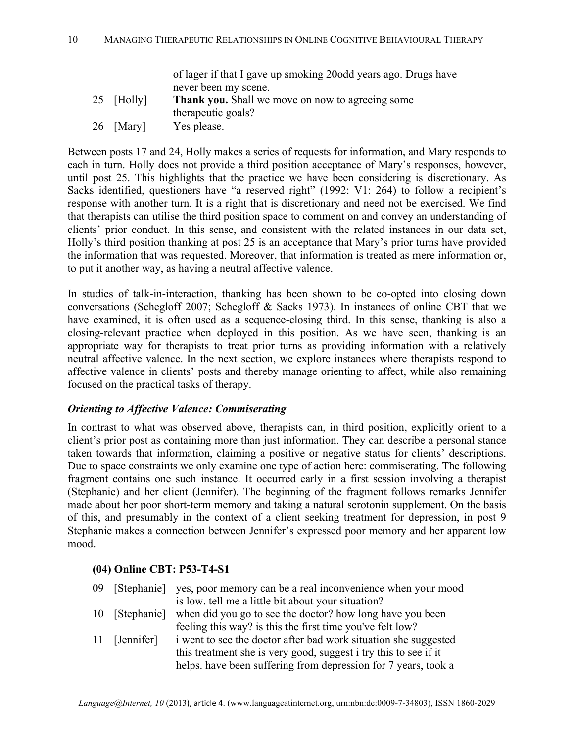|            | of lager if that I gave up smoking 20odd years ago. Drugs have |
|------------|----------------------------------------------------------------|
|            | never been my scene.                                           |
| 25 [Holly] | Thank you. Shall we move on now to agreeing some               |
|            | therapeutic goals?                                             |
| 26 [Mary]  | Yes please.                                                    |

Between posts 17 and 24, Holly makes a series of requests for information, and Mary responds to each in turn. Holly does not provide a third position acceptance of Mary's responses, however, until post 25. This highlights that the practice we have been considering is discretionary. As Sacks identified, questioners have "a reserved right" (1992: V1: 264) to follow a recipient's response with another turn. It is a right that is discretionary and need not be exercised. We find that therapists can utilise the third position space to comment on and convey an understanding of clients' prior conduct. In this sense, and consistent with the related instances in our data set, Holly's third position thanking at post 25 is an acceptance that Mary's prior turns have provided the information that was requested. Moreover, that information is treated as mere information or, to put it another way, as having a neutral affective valence.

In studies of talk-in-interaction, thanking has been shown to be co-opted into closing down conversations (Schegloff 2007; Schegloff & Sacks 1973). In instances of online CBT that we have examined, it is often used as a sequence-closing third. In this sense, thanking is also a closing-relevant practice when deployed in this position. As we have seen, thanking is an appropriate way for therapists to treat prior turns as providing information with a relatively neutral affective valence. In the next section, we explore instances where therapists respond to affective valence in clients' posts and thereby manage orienting to affect, while also remaining focused on the practical tasks of therapy.

## *Orienting to Affective Valence: Commiserating*

In contrast to what was observed above, therapists can, in third position, explicitly orient to a client's prior post as containing more than just information. They can describe a personal stance taken towards that information, claiming a positive or negative status for clients' descriptions. Due to space constraints we only examine one type of action here: commiserating. The following fragment contains one such instance. It occurred early in a first session involving a therapist (Stephanie) and her client (Jennifer). The beginning of the fragment follows remarks Jennifer made about her poor short-term memory and taking a natural serotonin supplement. On the basis of this, and presumably in the context of a client seeking treatment for depression, in post 9 Stephanie makes a connection between Jennifer's expressed poor memory and her apparent low mood.

## **(04) Online CBT: P53-T4-S1**

|                | 09 [Stephanie] yes, poor memory can be a real inconvenience when your mood |
|----------------|----------------------------------------------------------------------------|
|                | is low, tell me a little bit about your situation?                         |
| 10 [Stephanie] | when did you go to see the doctor? how long have you been                  |
|                | feeling this way? is this the first time you've felt low?                  |
| 11 [Jennifer]  | i went to see the doctor after bad work situation she suggested            |
|                | this treatment she is very good, suggest i try this to see if it           |
|                | helps. have been suffering from depression for 7 years, took a             |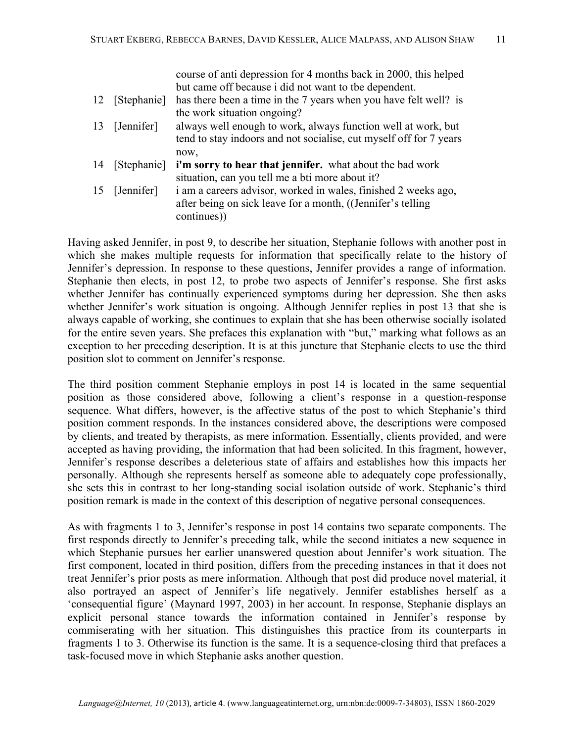|    |               | course of anti-depression for 4 months back in 2000, this helped   |
|----|---------------|--------------------------------------------------------------------|
|    |               | but came off because i did not want to the dependent.              |
| 12 | [Stephanie]   | has there been a time in the 7 years when you have felt well? is   |
|    |               | the work situation ongoing?                                        |
| 13 | [Jennifer]    | always well enough to work, always function well at work, but      |
|    |               | tend to stay indoors and not socialise, cut myself off for 7 years |
|    |               | now.                                                               |
| 14 | [Stephanie]   | i'm sorry to hear that jennifer. what about the bad work           |
|    |               | situation, can you tell me a bti more about it?                    |
|    | 15 [Jennifer] | i am a careers advisor, worked in wales, finished 2 weeks ago,     |
|    |               | after being on sick leave for a month, ((Jennifer's telling)       |
|    |               | continues)                                                         |

Having asked Jennifer, in post 9, to describe her situation, Stephanie follows with another post in which she makes multiple requests for information that specifically relate to the history of Jennifer's depression. In response to these questions, Jennifer provides a range of information. Stephanie then elects, in post 12, to probe two aspects of Jennifer's response. She first asks whether Jennifer has continually experienced symptoms during her depression. She then asks whether Jennifer's work situation is ongoing. Although Jennifer replies in post 13 that she is always capable of working, she continues to explain that she has been otherwise socially isolated for the entire seven years. She prefaces this explanation with "but," marking what follows as an exception to her preceding description. It is at this juncture that Stephanie elects to use the third position slot to comment on Jennifer's response.

The third position comment Stephanie employs in post 14 is located in the same sequential position as those considered above, following a client's response in a question-response sequence. What differs, however, is the affective status of the post to which Stephanie's third position comment responds. In the instances considered above, the descriptions were composed by clients, and treated by therapists, as mere information. Essentially, clients provided, and were accepted as having providing, the information that had been solicited. In this fragment, however, Jennifer's response describes a deleterious state of affairs and establishes how this impacts her personally. Although she represents herself as someone able to adequately cope professionally, she sets this in contrast to her long-standing social isolation outside of work. Stephanie's third position remark is made in the context of this description of negative personal consequences.

As with fragments 1 to 3, Jennifer's response in post 14 contains two separate components. The first responds directly to Jennifer's preceding talk, while the second initiates a new sequence in which Stephanie pursues her earlier unanswered question about Jennifer's work situation. The first component, located in third position, differs from the preceding instances in that it does not treat Jennifer's prior posts as mere information. Although that post did produce novel material, it also portrayed an aspect of Jennifer's life negatively. Jennifer establishes herself as a 'consequential figure' (Maynard 1997, 2003) in her account. In response, Stephanie displays an explicit personal stance towards the information contained in Jennifer's response by commiserating with her situation. This distinguishes this practice from its counterparts in fragments 1 to 3. Otherwise its function is the same. It is a sequence-closing third that prefaces a task-focused move in which Stephanie asks another question.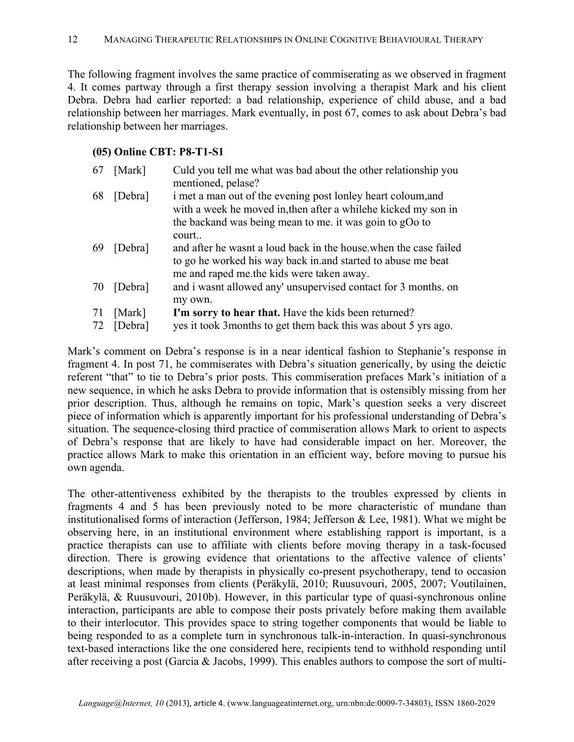The following fragment involves the same practice of commiserating as we observed in fragment 4. It comes partway through a first therapy session involving a therapist Mark and his client Debra. Debra had earlier reported: a bad relationship, experience of child abuse, and a bad relationship between her marriages. Mark eventually, in post 67, comes to ask about Debra's bad relationship between her marriages.

### **(05) Online CBT: P8-T1-S1**

| 67 | [Mark]  | Culd you tell me what was bad about the other relationship you    |
|----|---------|-------------------------------------------------------------------|
|    |         | mentioned, pelase?                                                |
| 68 | [Debra] | i met a man out of the evening post lonley heart coloum, and      |
|    |         | with a week he moved in, then after a whilehe kicked my son in    |
|    |         | the backand was being mean to me. it was goin to gOo to           |
|    |         | court                                                             |
| 69 | [Debra] | and after he wasnt a loud back in the house, when the case failed |
|    |         | to go he worked his way back in and started to abuse me beat      |
|    |         | me and raped me the kids were taken away.                         |
| 70 | [Debra] | and i wasnt allowed any' unsupervised contact for 3 months, on    |
|    |         | my own.                                                           |
| 71 | [Mark]  | I'm sorry to hear that. Have the kids been returned?              |
| 72 | [Debra] | yes it took 3 months to get them back this was about 5 yrs ago.   |

Mark's comment on Debra's response is in a near identical fashion to Stephanie's response in fragment 4. In post 71, he commiserates with Debra's situation generically, by using the deictic referent "that" to tie to Debra's prior posts. This commiseration prefaces Mark's initiation of a new sequence, in which he asks Debra to provide information that is ostensibly missing from her prior description. Thus, although he remains on topic, Mark's question seeks a very discreet piece of information which is apparently important for his professional understanding of Debra's situation. The sequence-closing third practice of commiseration allows Mark to orient to aspects of Debra's response that are likely to have had considerable impact on her. Moreover, the practice allows Mark to make this orientation in an efficient way, before moving to pursue his own agenda.

The other-attentiveness exhibited by the therapists to the troubles expressed by clients in fragments 4 and 5 has been previously noted to be more characteristic of mundane than institutionalised forms of interaction (Jefferson, 1984; Jefferson & Lee, 1981). What we might be observing here, in an institutional environment where establishing rapport is important, is a practice therapists can use to affiliate with clients before moving therapy in a task-focused direction. There is growing evidence that orientations to the affective valence of clients' descriptions, when made by therapists in physically co-present psychotherapy, tend to occasion at least minimal responses from clients (Peräkylä, 2010; Ruusuvouri, 2005, 2007; Voutilainen, Peräkylä, & Ruusuvouri, 2010b). However, in this particular type of quasi-synchronous online interaction, participants are able to compose their posts privately before making them available to their interlocutor. This provides space to string together components that would be liable to being responded to as a complete turn in synchronous talk-in-interaction. In quasi-synchronous text-based interactions like the one considered here, recipients tend to withhold responding until after receiving a post (Garcia & Jacobs, 1999). This enables authors to compose the sort of multi-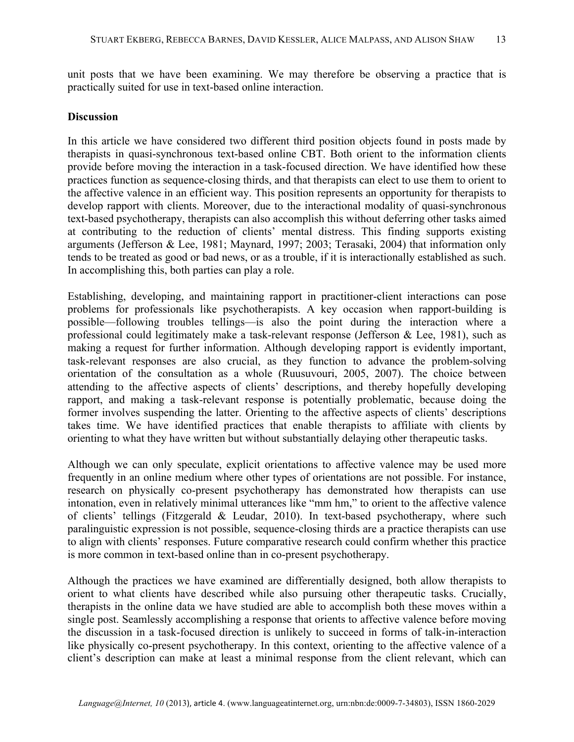unit posts that we have been examining. We may therefore be observing a practice that is practically suited for use in text-based online interaction.

#### **Discussion**

In this article we have considered two different third position objects found in posts made by therapists in quasi-synchronous text-based online CBT. Both orient to the information clients provide before moving the interaction in a task-focused direction. We have identified how these practices function as sequence-closing thirds, and that therapists can elect to use them to orient to the affective valence in an efficient way. This position represents an opportunity for therapists to develop rapport with clients. Moreover, due to the interactional modality of quasi-synchronous text-based psychotherapy, therapists can also accomplish this without deferring other tasks aimed at contributing to the reduction of clients' mental distress. This finding supports existing arguments (Jefferson & Lee, 1981; Maynard, 1997; 2003; Terasaki, 2004) that information only tends to be treated as good or bad news, or as a trouble, if it is interactionally established as such. In accomplishing this, both parties can play a role.

Establishing, developing, and maintaining rapport in practitioner-client interactions can pose problems for professionals like psychotherapists. A key occasion when rapport-building is possible—following troubles tellings—is also the point during the interaction where a professional could legitimately make a task-relevant response (Jefferson & Lee, 1981), such as making a request for further information. Although developing rapport is evidently important, task-relevant responses are also crucial, as they function to advance the problem-solving orientation of the consultation as a whole (Ruusuvouri, 2005, 2007). The choice between attending to the affective aspects of clients' descriptions, and thereby hopefully developing rapport, and making a task-relevant response is potentially problematic, because doing the former involves suspending the latter. Orienting to the affective aspects of clients' descriptions takes time. We have identified practices that enable therapists to affiliate with clients by orienting to what they have written but without substantially delaying other therapeutic tasks.

Although we can only speculate, explicit orientations to affective valence may be used more frequently in an online medium where other types of orientations are not possible. For instance, research on physically co-present psychotherapy has demonstrated how therapists can use intonation, even in relatively minimal utterances like "mm hm," to orient to the affective valence of clients' tellings (Fitzgerald & Leudar, 2010). In text-based psychotherapy, where such paralinguistic expression is not possible, sequence-closing thirds are a practice therapists can use to align with clients' responses. Future comparative research could confirm whether this practice is more common in text-based online than in co-present psychotherapy.

Although the practices we have examined are differentially designed, both allow therapists to orient to what clients have described while also pursuing other therapeutic tasks. Crucially, therapists in the online data we have studied are able to accomplish both these moves within a single post. Seamlessly accomplishing a response that orients to affective valence before moving the discussion in a task-focused direction is unlikely to succeed in forms of talk-in-interaction like physically co-present psychotherapy. In this context, orienting to the affective valence of a client's description can make at least a minimal response from the client relevant, which can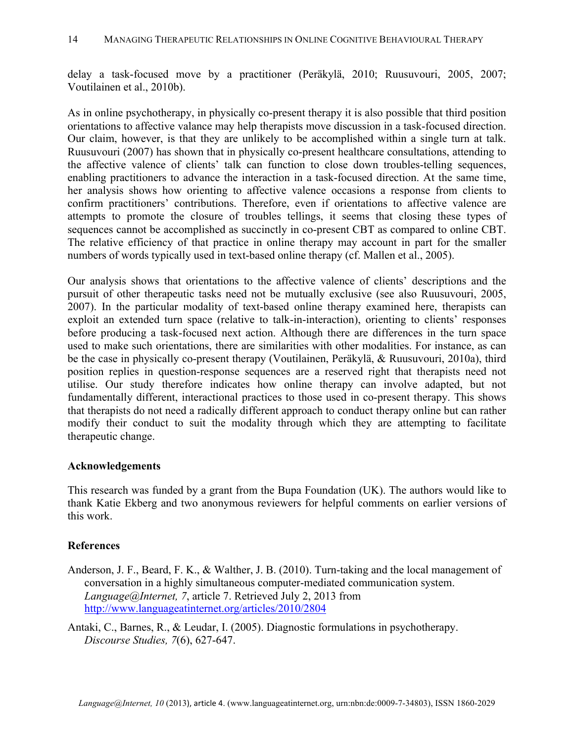delay a task-focused move by a practitioner (Peräkylä, 2010; Ruusuvouri, 2005, 2007; Voutilainen et al., 2010b).

As in online psychotherapy, in physically co-present therapy it is also possible that third position orientations to affective valance may help therapists move discussion in a task-focused direction. Our claim, however, is that they are unlikely to be accomplished within a single turn at talk. Ruusuvouri (2007) has shown that in physically co-present healthcare consultations, attending to the affective valence of clients' talk can function to close down troubles-telling sequences, enabling practitioners to advance the interaction in a task-focused direction. At the same time, her analysis shows how orienting to affective valence occasions a response from clients to confirm practitioners' contributions. Therefore, even if orientations to affective valence are attempts to promote the closure of troubles tellings, it seems that closing these types of sequences cannot be accomplished as succinctly in co-present CBT as compared to online CBT. The relative efficiency of that practice in online therapy may account in part for the smaller numbers of words typically used in text-based online therapy (cf. Mallen et al., 2005).

Our analysis shows that orientations to the affective valence of clients' descriptions and the pursuit of other therapeutic tasks need not be mutually exclusive (see also Ruusuvouri, 2005, 2007). In the particular modality of text-based online therapy examined here, therapists can exploit an extended turn space (relative to talk-in-interaction), orienting to clients' responses before producing a task-focused next action. Although there are differences in the turn space used to make such orientations, there are similarities with other modalities. For instance, as can be the case in physically co-present therapy (Voutilainen, Peräkylä, & Ruusuvouri, 2010a), third position replies in question-response sequences are a reserved right that therapists need not utilise. Our study therefore indicates how online therapy can involve adapted, but not fundamentally different, interactional practices to those used in co-present therapy. This shows that therapists do not need a radically different approach to conduct therapy online but can rather modify their conduct to suit the modality through which they are attempting to facilitate therapeutic change.

#### **Acknowledgements**

This research was funded by a grant from the Bupa Foundation (UK). The authors would like to thank Katie Ekberg and two anonymous reviewers for helpful comments on earlier versions of this work.

#### **References**

Anderson, J. F., Beard, F. K., & Walther, J. B. (2010). Turn-taking and the local management of conversation in a highly simultaneous computer-mediated communication system. *Language@Internet, 7*, article 7. Retrieved July 2, 2013 from http://www.languageatinternet.org/articles/2010/2804

Antaki, C., Barnes, R., & Leudar, I. (2005). Diagnostic formulations in psychotherapy. *Discourse Studies, 7*(6), 627-647.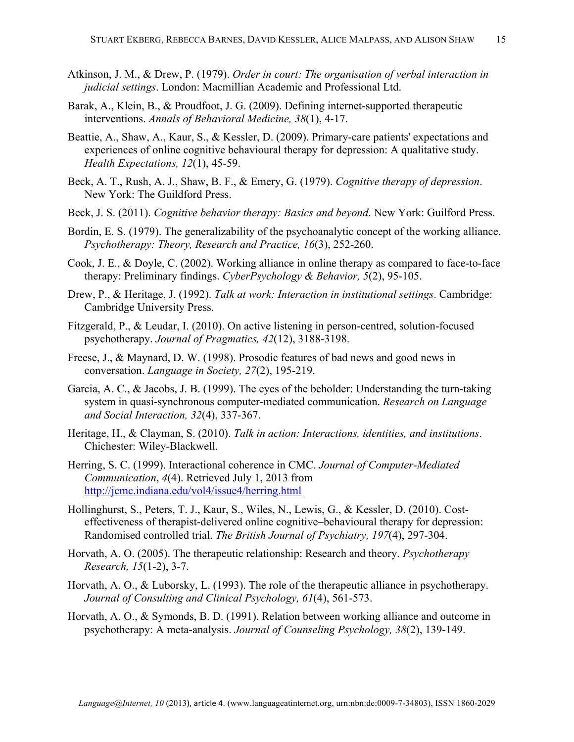- Atkinson, J. M., & Drew, P. (1979). *Order in court: The organisation of verbal interaction in judicial settings*. London: Macmillian Academic and Professional Ltd.
- Barak, A., Klein, B., & Proudfoot, J. G. (2009). Defining internet-supported therapeutic interventions. *Annals of Behavioral Medicine, 38*(1), 4-17.
- Beattie, A., Shaw, A., Kaur, S., & Kessler, D. (2009). Primary-care patients' expectations and experiences of online cognitive behavioural therapy for depression: A qualitative study. *Health Expectations, 12*(1), 45-59.
- Beck, A. T., Rush, A. J., Shaw, B. F., & Emery, G. (1979). *Cognitive therapy of depression*. New York: The Guildford Press.
- Beck, J. S. (2011). *Cognitive behavior therapy: Basics and beyond*. New York: Guilford Press.
- Bordin, E. S. (1979). The generalizability of the psychoanalytic concept of the working alliance. *Psychotherapy: Theory, Research and Practice, 16*(3), 252-260.
- Cook, J. E., & Doyle, C. (2002). Working alliance in online therapy as compared to face-to-face therapy: Preliminary findings. *CyberPsychology & Behavior, 5*(2), 95-105.
- Drew, P., & Heritage, J. (1992). *Talk at work: Interaction in institutional settings*. Cambridge: Cambridge University Press.
- Fitzgerald, P., & Leudar, I. (2010). On active listening in person-centred, solution-focused psychotherapy. *Journal of Pragmatics, 42*(12), 3188-3198.
- Freese, J., & Maynard, D. W. (1998). Prosodic features of bad news and good news in conversation. *Language in Society, 27*(2), 195-219.
- Garcia, A. C., & Jacobs, J. B. (1999). The eyes of the beholder: Understanding the turn-taking system in quasi-synchronous computer-mediated communication. *Research on Language and Social Interaction, 32*(4), 337-367.
- Heritage, H., & Clayman, S. (2010). *Talk in action: Interactions, identities, and institutions*. Chichester: Wiley-Blackwell.
- Herring, S. C. (1999). Interactional coherence in CMC. *Journal of Computer-Mediated Communication*, *4*(4). Retrieved July 1, 2013 from http://jcmc.indiana.edu/vol4/issue4/herring.html
- Hollinghurst, S., Peters, T. J., Kaur, S., Wiles, N., Lewis, G., & Kessler, D. (2010). Costeffectiveness of therapist-delivered online cognitive–behavioural therapy for depression: Randomised controlled trial. *The British Journal of Psychiatry, 197*(4), 297-304.
- Horvath, A. O. (2005). The therapeutic relationship: Research and theory. *Psychotherapy Research, 15*(1-2), 3-7.
- Horvath, A. O., & Luborsky, L. (1993). The role of the therapeutic alliance in psychotherapy. *Journal of Consulting and Clinical Psychology, 61*(4), 561-573.
- Horvath, A. O., & Symonds, B. D. (1991). Relation between working alliance and outcome in psychotherapy: A meta-analysis. *Journal of Counseling Psychology, 38*(2), 139-149.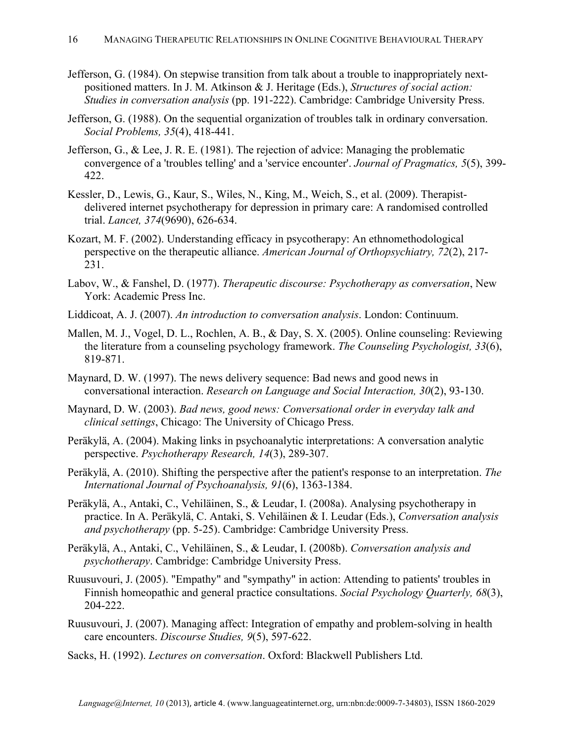- Jefferson, G. (1984). On stepwise transition from talk about a trouble to inappropriately nextpositioned matters. In J. M. Atkinson & J. Heritage (Eds.), *Structures of social action: Studies in conversation analysis* (pp. 191-222). Cambridge: Cambridge University Press.
- Jefferson, G. (1988). On the sequential organization of troubles talk in ordinary conversation. *Social Problems, 35*(4), 418-441.
- Jefferson, G., & Lee, J. R. E. (1981). The rejection of advice: Managing the problematic convergence of a 'troubles telling' and a 'service encounter'. *Journal of Pragmatics, 5*(5), 399- 422.
- Kessler, D., Lewis, G., Kaur, S., Wiles, N., King, M., Weich, S., et al. (2009). Therapistdelivered internet psychotherapy for depression in primary care: A randomised controlled trial. *Lancet, 374*(9690), 626-634.
- Kozart, M. F. (2002). Understanding efficacy in psycotherapy: An ethnomethodological perspective on the therapeutic alliance. *American Journal of Orthopsychiatry, 72*(2), 217- 231.
- Labov, W., & Fanshel, D. (1977). *Therapeutic discourse: Psychotherapy as conversation*, New York: Academic Press Inc.
- Liddicoat, A. J. (2007). *An introduction to conversation analysis*. London: Continuum.
- Mallen, M. J., Vogel, D. L., Rochlen, A. B., & Day, S. X. (2005). Online counseling: Reviewing the literature from a counseling psychology framework. *The Counseling Psychologist, 33*(6), 819-871.
- Maynard, D. W. (1997). The news delivery sequence: Bad news and good news in conversational interaction. *Research on Language and Social Interaction, 30*(2), 93-130.
- Maynard, D. W. (2003). *Bad news, good news: Conversational order in everyday talk and clinical settings*, Chicago: The University of Chicago Press.
- Peräkylä, A. (2004). Making links in psychoanalytic interpretations: A conversation analytic perspective. *Psychotherapy Research, 14*(3), 289-307.
- Peräkylä, A. (2010). Shifting the perspective after the patient's response to an interpretation. *The International Journal of Psychoanalysis, 91*(6), 1363-1384.
- Peräkylä, A., Antaki, C., Vehiläinen, S., & Leudar, I. (2008a). Analysing psychotherapy in practice. In A. Peräkylä, C. Antaki, S. Vehiläinen & I. Leudar (Eds.), *Conversation analysis and psychotherapy* (pp. 5-25). Cambridge: Cambridge University Press.
- Peräkylä, A., Antaki, C., Vehiläinen, S., & Leudar, I. (2008b). *Conversation analysis and psychotherapy*. Cambridge: Cambridge University Press.
- Ruusuvouri, J. (2005). "Empathy" and "sympathy" in action: Attending to patients' troubles in Finnish homeopathic and general practice consultations. *Social Psychology Quarterly, 68*(3), 204-222.
- Ruusuvouri, J. (2007). Managing affect: Integration of empathy and problem-solving in health care encounters. *Discourse Studies, 9*(5), 597-622.
- Sacks, H. (1992). *Lectures on conversation*. Oxford: Blackwell Publishers Ltd.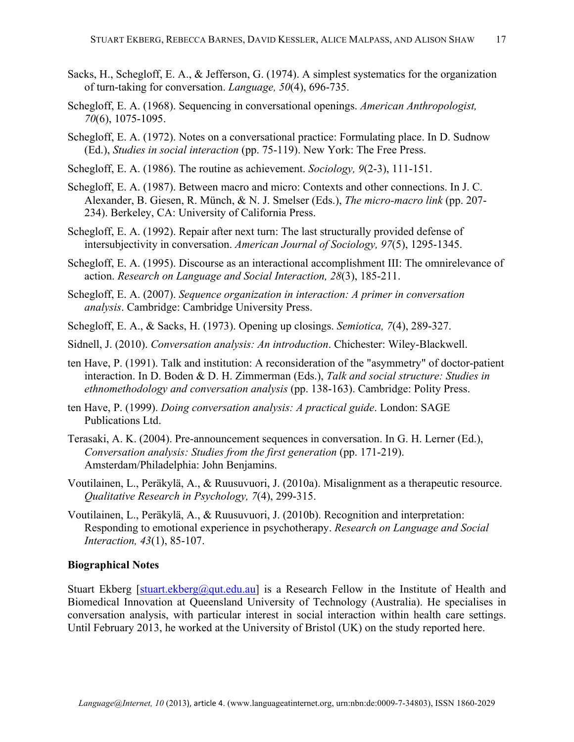- Sacks, H., Schegloff, E. A., & Jefferson, G. (1974). A simplest systematics for the organization of turn-taking for conversation. *Language, 50*(4), 696-735.
- Schegloff, E. A. (1968). Sequencing in conversational openings. *American Anthropologist, 70*(6), 1075-1095.
- Schegloff, E. A. (1972). Notes on a conversational practice: Formulating place. In D. Sudnow (Ed.), *Studies in social interaction* (pp. 75-119). New York: The Free Press.
- Schegloff, E. A. (1986). The routine as achievement. *Sociology, 9*(2-3), 111-151.
- Schegloff, E. A. (1987). Between macro and micro: Contexts and other connections. In J. C. Alexander, B. Giesen, R. Münch, & N. J. Smelser (Eds.), *The micro-macro link* (pp. 207- 234). Berkeley, CA: University of California Press.
- Schegloff, E. A. (1992). Repair after next turn: The last structurally provided defense of intersubjectivity in conversation. *American Journal of Sociology, 97*(5), 1295-1345.
- Schegloff, E. A. (1995). Discourse as an interactional accomplishment III: The omnirelevance of action. *Research on Language and Social Interaction, 28*(3), 185-211.
- Schegloff, E. A. (2007). *Sequence organization in interaction: A primer in conversation analysis*. Cambridge: Cambridge University Press.
- Schegloff, E. A., & Sacks, H. (1973). Opening up closings. *Semiotica, 7*(4), 289-327.
- Sidnell, J. (2010). *Conversation analysis: An introduction*. Chichester: Wiley-Blackwell.
- ten Have, P. (1991). Talk and institution: A reconsideration of the "asymmetry" of doctor-patient interaction. In D. Boden & D. H. Zimmerman (Eds.), *Talk and social structure: Studies in ethnomethodology and conversation analysis* (pp. 138-163). Cambridge: Polity Press.
- ten Have, P. (1999). *Doing conversation analysis: A practical guide*. London: SAGE Publications Ltd.
- Terasaki, A. K. (2004). Pre-announcement sequences in conversation. In G. H. Lerner (Ed.), *Conversation analysis: Studies from the first generation (pp. 171-219).* Amsterdam/Philadelphia: John Benjamins.
- Voutilainen, L., Peräkylä, A., & Ruusuvuori, J. (2010a). Misalignment as a therapeutic resource. *Qualitative Research in Psychology, 7*(4), 299-315.
- Voutilainen, L., Peräkylä, A., & Ruusuvuori, J. (2010b). Recognition and interpretation: Responding to emotional experience in psychotherapy. *Research on Language and Social Interaction, 43*(1), 85-107.

#### **Biographical Notes**

Stuart Ekberg [stuart.ekberg@qut.edu.au] is a Research Fellow in the Institute of Health and Biomedical Innovation at Queensland University of Technology (Australia). He specialises in conversation analysis, with particular interest in social interaction within health care settings. Until February 2013, he worked at the University of Bristol (UK) on the study reported here.